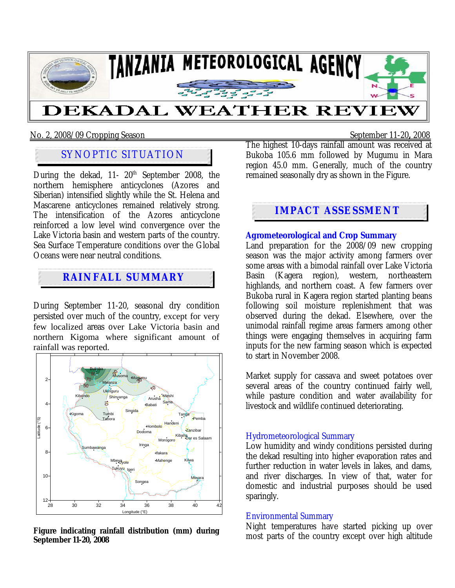

### No. 2, 2008/09 Cropping Season September 11-20**,** 2008

# SYNOPTIC SITUATION

During the dekad,  $11-20$ <sup>th</sup> September 2008, the northern hemisphere anticyclones (Azores and Siberian) intensified slightly while the St. Helena and Mascarene anticyclones remained relatively strong. The intensification of the Azores anticyclone reinforced a low level wind convergence over the Lake Victoria basin and western parts of the country. Sea Surface Temperature conditions over the Global Oceans were near neutral conditions.

## **RAINFALL SUMMARY**

During September 11-20, seasonal dry condition persisted over much of the country, except for very few localized areas over Lake Victoria basin and northern Kigoma where significant amount of rainfall was reported.



**Figure indicating rainfall distribution (mm) during September 11-20, 2008** 

The highest 10-days rainfall amount was received at Bukoba 105.6 mm followed by Mugumu in Mara region 45.0 mm. Generally, much of the country remained seasonally dry as shown in the Figure.

## **IMPACT ASSESSMENT**

**Agrometeorological and Crop Summary** Land preparation for the 2008/09 new cropping season was the major activity among farmers over some areas with a bimodal rainfall over Lake Victoria Basin (Kagera region), western, northeastern highlands, and northern coast. A few farmers over Bukoba rural in Kagera region started planting beans following soil moisture replenishment that was observed during the dekad. Elsewhere, over the unimodal rainfall regime areas farmers among other things were engaging themselves in acquiring farm inputs for the new farming season which is expected to start in November 2008.

Market supply for cassava and sweet potatoes over several areas of the country continued fairly well, while pasture condition and water availability for livestock and wildlife continued deteriorating.

### Hydrometeorological Summary

Low humidity and windy conditions persisted during the dekad resulting into higher evaporation rates and further reduction in water levels in lakes, and dams, and river discharges. In view of that, water for domestic and industrial purposes should be used sparingly.

### Environmental Summary

Night temperatures have started picking up over most parts of the country except over high altitude